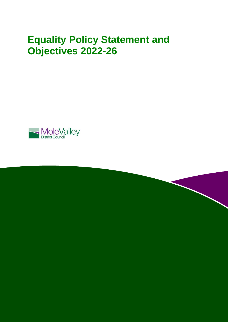# **Equality Policy Statement and Objectives 2022-26**



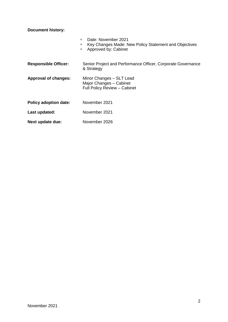**Document history:**

|                              | Date: November 2021<br>Key Changes Made: New Policy Statement and Objectives<br>о<br>Approved by: Cabinet<br>α |
|------------------------------|----------------------------------------------------------------------------------------------------------------|
| <b>Responsible Officer:</b>  | Senior Project and Performance Officer, Corporate Governance<br>& Strategy                                     |
| <b>Approval of changes:</b>  | Minor Changes - SLT Lead<br>Major Changes - Cabinet<br>Full Policy Review - Cabinet                            |
| <b>Policy adoption date:</b> | November 2021                                                                                                  |
| Last updated:                | November 2021                                                                                                  |
| Next update due:             | November 2026                                                                                                  |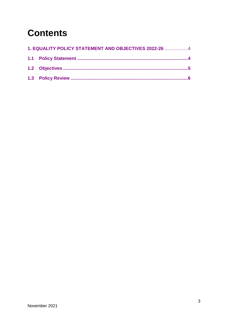# **Contents**

| 1. EQUALITY POLICY STATEMENT AND OBJECTIVES 2022-26  4 |  |
|--------------------------------------------------------|--|
|                                                        |  |
|                                                        |  |
|                                                        |  |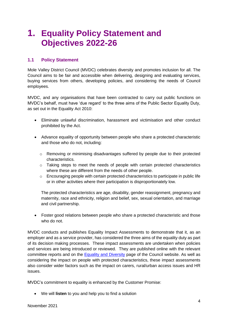## <span id="page-3-0"></span>**1. Equality Policy Statement and Objectives 2022-26**

## <span id="page-3-1"></span>**1.1 Policy Statement**

Mole Valley District Council (MVDC) celebrates diversity and promotes inclusion for all. The Council aims to be fair and accessible when delivering, designing and evaluating services, buying services from others, developing policies, and considering the needs of Council employees.

MVDC, and any organisations that have been contracted to carry out public functions on MVDC's behalf, must have 'due regard' to the three aims of the Public Sector Equality Duty, as set out in the Equality Act 2010:

- Eliminate unlawful discrimination, harassment and victimisation and other conduct prohibited by the Act.
- Advance equality of opportunity between people who share a protected characteristic and those who do not, including:
	- o Removing or minimising disadvantages suffered by people due to their protected characteristics.
	- o Taking steps to meet the needs of people with certain protected characteristics where these are different from the needs of other people.
	- $\circ$  Encouraging people with certain protected characteristics to participate in public life or in other activities where their participation is disproportionately low.

The protected characteristics are age, disability, gender reassignment, pregnancy and maternity, race and ethnicity, religion and belief, sex, sexual orientation, and marriage and civil partnership.

 Foster good relations between people who share a protected characteristic and those who do not.

MVDC conducts and publishes Equality Impact Assessments to demonstrate that it, as an employer and as a service provider, has considered the three aims of the equality duty as part of its decision making processes. These impact assessments are undertaken when policies and services are being introduced or reviewed. They are published online with the relevant committee reports and on the [Equality and Diversity](https://www.molevalley.gov.uk/home/council/about-mvdc/equality-and-diversity) page of the Council website. As well as considering the impact on people with protected characteristics, these impact assessments also consider wider factors such as the impact on carers, rural/urban access issues and HR issues.

MVDC's commitment to equality is enhanced by the Customer Promise:

We will **listen** to you and help you to find a solution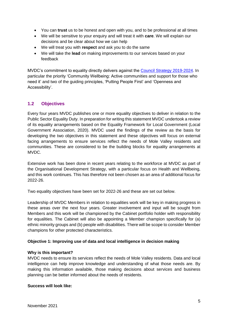- You can **trust** us to be honest and open with you, and to be professional at all times
- We will be sensitive to your enquiry and will treat it with **care**. We will explain our decisions and be clear about how we can help
- We will treat you with **respect** and ask you to do the same
- We will take the **lead** on making improvements to our services based on your feedback

MVDC's commitment to equality directly delivers against the [Council Strategy 2019-2024.](https://www.molevalley.gov.uk/home/council/about-mvdc/council-strategy) In particular the priority 'Community Wellbeing: Active communities and support for those who need it' and two of the guiding principles, 'Putting People First' and 'Openness and Accessibility'.

## <span id="page-4-0"></span>**1.2 Objectives**

Every four years MVDC publishes one or more equality objectives to deliver in relation to the Public Sector Equality Duty. In preparation for writing this statement MVDC undertook a review of its equality arrangements based on the Equality Framework for Local Government (Local Government Association, 2020). MVDC used the findings of the review as the basis for developing the two objectives in this statement and these objectives will focus on external facing arrangements to ensure services reflect the needs of Mole Valley residents and communities. These are considered to be the building blocks for equality arrangements at MVDC.

Extensive work has been done in recent years relating to the workforce at MVDC as part of the Organisational Development Strategy, with a particular focus on Health and Wellbeing, and this work continues. This has therefore not been chosen as an area of additional focus for 2022-26.

Two equality objectives have been set for 2022-26 and these are set out below.

Leadership of MVDC Members in relation to equalities work will be key in making progress in these areas over the next four years. Greater involvement and input will be sought from Members and this work will be championed by the Cabinet portfolio holder with responsibility for equalities. The Cabinet will also be appointing a Member champion specifically for (a) ethnic minority groups and (b) people with disabilities. There will be scope to consider Member champions for other protected characteristics.

### **Objective 1: Improving use of data and local intelligence in decision making**

### **Why is this important?**

MVDC needs to ensure its services reflect the needs of Mole Valley residents. Data and local intelligence can help improve knowledge and understanding of what those needs are. By making this information available, those making decisions about services and business planning can be better informed about the needs of residents.

#### **Success will look like:**